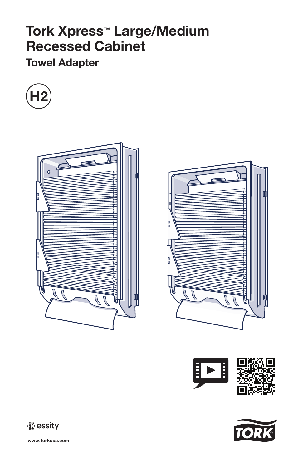# Tork Xpress™ Large/Medium Recessed Cabinet

# Towel Adapter













www.torkusa.com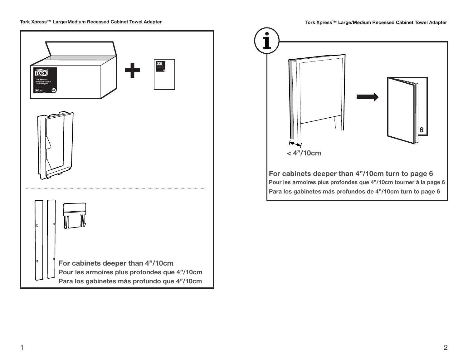



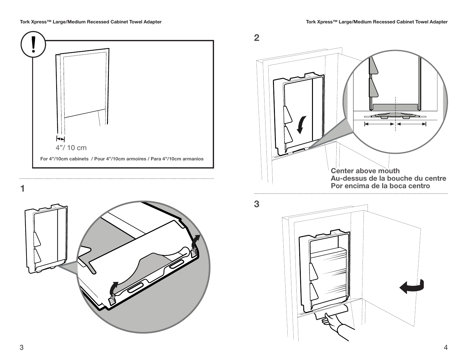





Por encima de la boca centro



3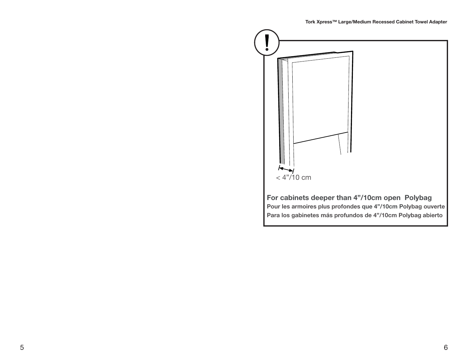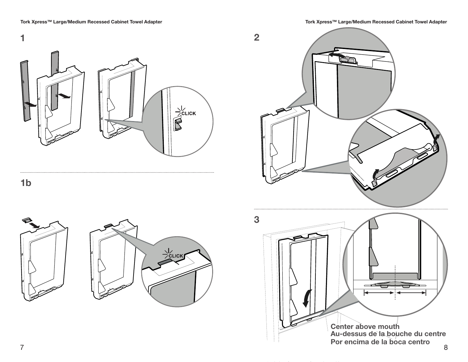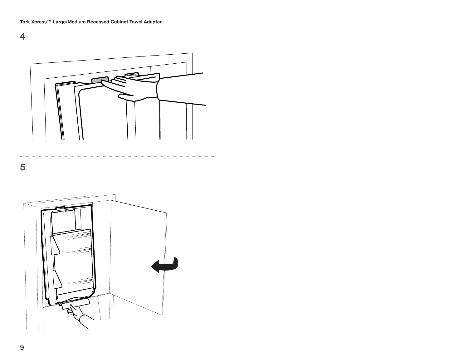

. . . . . . . .

5